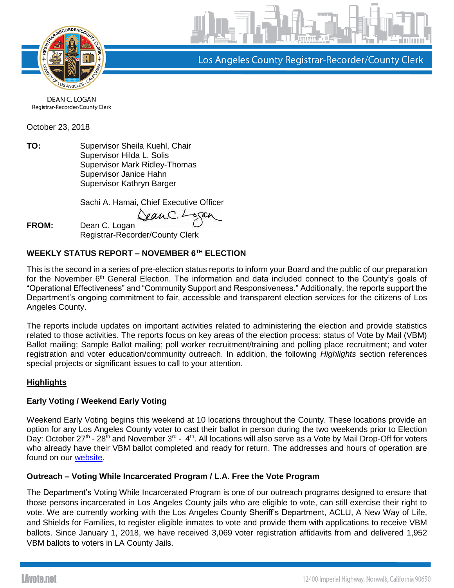

Los Angeles County Registrar-Recorder/County Clerk

DEAN C. LOGAN Registrar-Recorder/County Clerk

October 23, 2018

**TO:** Supervisor Sheila Kuehl, Chair Supervisor Hilda L. Solis Supervisor Mark Ridley-Thomas Supervisor Janice Hahn Supervisor Kathryn Barger

Sachi A. Hamai, Chief Executive Officer

Jean C. L

**FROM:** Dean C. Logan Registrar-Recorder/County Clerk

# **WEEKLY STATUS REPORT – NOVEMBER 6TH ELECTION**

This is the second in a series of pre-election status reports to inform your Board and the public of our preparation for the November 6<sup>th</sup> General Election. The information and data included connect to the County's goals of "Operational Effectiveness" and "Community Support and Responsiveness." Additionally, the reports support the Department's ongoing commitment to fair, accessible and transparent election services for the citizens of Los Angeles County.

The reports include updates on important activities related to administering the election and provide statistics related to those activities. The reports focus on key areas of the election process: status of Vote by Mail (VBM) Ballot mailing; Sample Ballot mailing; poll worker recruitment/training and polling place recruitment; and voter registration and voter education/community outreach. In addition, the following *Highlights* section references special projects or significant issues to call to your attention.

# **Highlights**

# **Early Voting / Weekend Early Voting**

Weekend Early Voting begins this weekend at 10 locations throughout the County. These locations provide an option for any Los Angeles County voter to cast their ballot in person during the two weekends prior to Election Day: October 27<sup>th</sup> - 28<sup>th</sup> and November 3<sup>rd</sup> - 4<sup>th</sup>. All locations will also serve as a Vote by Mail Drop-Off for voters who already have their VBM ballot completed and ready for return. The addresses and hours of operation are found on our [website.](http://lavote.net/home/voting-elections/voting-options/early-voting/early-voting)

# **Outreach – Voting While Incarcerated Program / L.A. Free the Vote Program**

The Department's Voting While Incarcerated Program is one of our outreach programs designed to ensure that those persons incarcerated in Los Angeles County jails who are eligible to vote, can still exercise their right to vote. We are currently working with the Los Angeles County Sheriff's Department, ACLU, A New Way of Life, and Shields for Families, to register eligible inmates to vote and provide them with applications to receive VBM ballots. Since January 1, 2018, we have received 3,069 voter registration affidavits from and delivered 1,952 VBM ballots to voters in LA County Jails.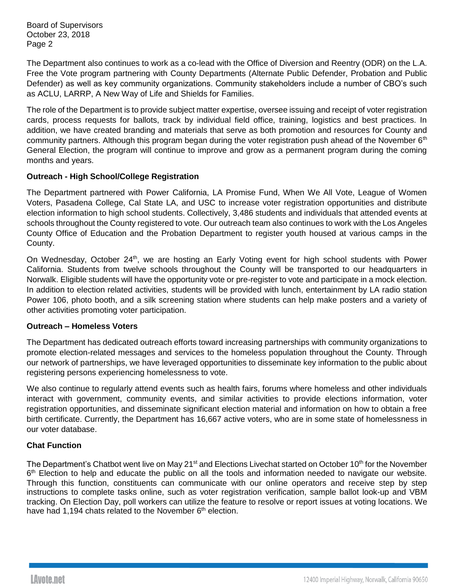Board of Supervisors October 23, 2018 Page 2

The Department also continues to work as a co-lead with the Office of Diversion and Reentry (ODR) on the L.A. Free the Vote program partnering with County Departments (Alternate Public Defender, Probation and Public Defender) as well as key community organizations. Community stakeholders include a number of CBO's such as ACLU, LARRP, A New Way of Life and Shields for Families.

The role of the Department is to provide subject matter expertise, oversee issuing and receipt of voter registration cards, process requests for ballots, track by individual field office, training, logistics and best practices. In addition, we have created branding and materials that serve as both promotion and resources for County and community partners. Although this program began during the voter registration push ahead of the November 6<sup>th</sup> General Election, the program will continue to improve and grow as a permanent program during the coming months and years.

# **Outreach - High School/College Registration**

The Department partnered with Power California, LA Promise Fund, When We All Vote, League of Women Voters, Pasadena College, Cal State LA, and USC to increase voter registration opportunities and distribute election information to high school students. Collectively, 3,486 students and individuals that attended events at schools throughout the County registered to vote. Our outreach team also continues to work with the Los Angeles County Office of Education and the Probation Department to register youth housed at various camps in the County.

On Wednesday, October 24<sup>th</sup>, we are hosting an Early Voting event for high school students with Power California. Students from twelve schools throughout the County will be transported to our headquarters in Norwalk. Eligible students will have the opportunity vote or pre-register to vote and participate in a mock election. In addition to election related activities, students will be provided with lunch, entertainment by LA radio station Power 106, photo booth, and a silk screening station where students can help make posters and a variety of other activities promoting voter participation.

## **Outreach – Homeless Voters**

The Department has dedicated outreach efforts toward increasing partnerships with community organizations to promote election-related messages and services to the homeless population throughout the County. Through our network of partnerships, we have leveraged opportunities to disseminate key information to the public about registering persons experiencing homelessness to vote.

We also continue to regularly attend events such as health fairs, forums where homeless and other individuals interact with government, community events, and similar activities to provide elections information, voter registration opportunities, and disseminate significant election material and information on how to obtain a free birth certificate. Currently, the Department has 16,667 active voters, who are in some state of homelessness in our voter database.

# **Chat Function**

The Department's Chatbot went live on May 21<sup>st</sup> and Elections Livechat started on October 10<sup>th</sup> for the November 6<sup>th</sup> Election to help and educate the public on all the tools and information needed to navigate our website. Through this function, constituents can communicate with our online operators and receive step by step instructions to complete tasks online, such as voter registration verification, sample ballot look-up and VBM tracking. On Election Day, poll workers can utilize the feature to resolve or report issues at voting locations. We have had 1,194 chats related to the November 6<sup>th</sup> election.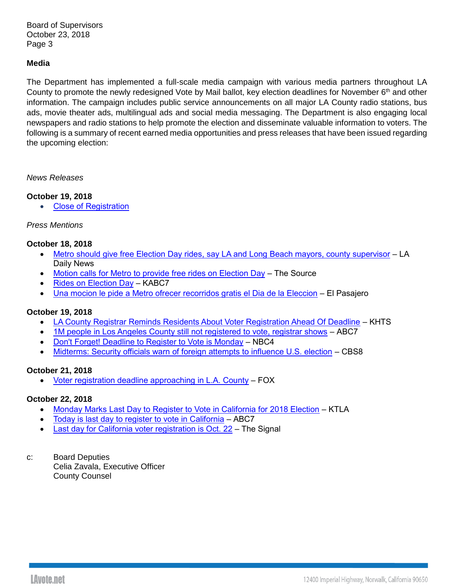Board of Supervisors October 23, 2018 Page 3

# **Media**

The Department has implemented a full-scale media campaign with various media partners throughout LA County to promote the newly redesigned Vote by Mail ballot, key election deadlines for November 6<sup>th</sup> and other information. The campaign includes public service announcements on all major LA County radio stations, bus ads, movie theater ads, multilingual ads and social media messaging. The Department is also engaging local newspapers and radio stations to help promote the election and disseminate valuable information to voters. The following is a summary of recent earned media opportunities and press releases that have been issued regarding the upcoming election:

#### *News Releases*

## **October 19, 2018**

• [Close of Registration](https://lavote.net/docs/rrcc/news-releases/11062018_Close-of-Reg.pdf)

# *Press Mentions*

## **October 18, 2018**

- Metro should give free Election Day rides, [say LA and Long Beach mayors, county supervisor](https://www.dailynews.com/2018/10/18/metro-should-give-free-election-day-rides-say-la-and-long-beach-mayors-county-supervisor/?utm_content=&utm_medium=email&utm_name=&utm_source=govdelivery&utm_term=) LA Daily News
- [Motion calls for Metro to provide free rides on Election Day](http://thesource.metro.net/2018/10/18/motion-calls-for-metro-to-provide-free-rides-on-election-day/?utm_content=&utm_medium=email&utm_name=&utm_source=govdelivery&utm_term=) The Source
- [Rides on Election Day](http://mms.tveyes.com/MediaView/?c3RhdGlvbj03ODUmU3RhcnREYXRlVGltZT0xMCUyZjE5JTJmMjAxOCswNCUzYTQxJTNhMTkmRW5kRGF0ZVRpbWU9MTAlMmYxOSUyZjIwMTgrMDQlM2E0MSUzYTQ4JiYmZHVyYXRpb249MzAwNjcwJnBhcnRuZXJpZD03MzEzJiZoaWdobGlnaHRyZWdleD0lNWNiTC5BLiU1Y2IlN2MlNWNiY291bnR5JTVjYiU3YyU1Y2JpbW1pZ3JhdGlvbiU1Y2ImbW9kZWRpdG9yZW5hYmxlPXRydWUmbW9kZWRpdG9yZGVzdGluYXRpb25zPTQmJmV4cGlyYXRpb249MTElMmYxOCUyZjIwMTgrMDQlM2E0MSUzYTE5LjAwMCZpbnN0YW50UGxheT1UcnVlJnNpZ25hdHVyZT1jZDBjYmU1YTZiYzMxMTYwNTEyMTFlNjllMzhiMmUwMA==) KABC7
- [Una mocion le pide a Metro ofrecer recorridos gratis el Dia de la Eleccion](http://elpasajero.metro.net/2018/10/18/una-mocion-le-pide-a-metro-ofrecer-recorridos-gratis-el-dia-de-la-eleccion/?utm_content=&utm_medium=email&utm_name=&utm_source=govdelivery&utm_term=) El Pasajero

## **October 19, 2018**

- [LA County Registrar Reminds Residents About Voter Registration Ahead Of Deadline](http://www.hometownstation.com/santa-clarita-latest-news/la-county-registrar-reminds-residents-about-voter-registration-ahead-of-deadline-253226) KHTS
- [1M people in Los Angeles County still not registered to vote, registrar shows](https://abc7.com/politics/1m-in-la-county-still-not-registered-to-vote-registrar-shows/4520225/) ABC7
- [Don't Forget! Deadline to Register to Vote is Monday](https://www.nbclosangeles.com/news/local/Voter-Registration-Deadline-Monday-498077091.html) NBC4
- [Midterms: Security officials warn of foreign attempts to influence U.S. election](http://www.cbs8.com/story/39321512/midterms-security-officials-warn-of-foreign-attempts-to-influence-us-election) CBS8

## **October 21, 2018**

• [Voter registration deadline approaching in L.A. County](http://www.foxla.com/news/local-news/voter-registration-deadline-approaching-in-la-county) – FOX

## **October 22, 2018**

- [Monday Marks Last Day to Register to Vote in California for 2018 Election](https://ktla.com/2018/10/22/monday-marks-last-day-to-register-to-vote-in-california/) KTLA
- [Today is last day to register to vote in California](https://abc7.com/politics/today-is-last-day-to-register-to-vote-in-california/4534868/) ABC7
- **[Last day for California voter registration is Oct. 22](https://signalscv.com/2018/10/last-day-for-california-voter-registration-is-oct-22/) The Signal**
- c: Board Deputies Celia Zavala, Executive Officer County Counsel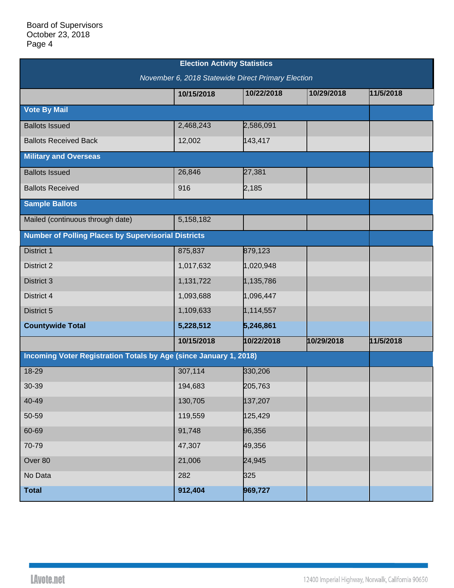| <b>Election Activity Statistics</b>                               |            |            |            |           |  |  |  |
|-------------------------------------------------------------------|------------|------------|------------|-----------|--|--|--|
| November 6, 2018 Statewide Direct Primary Election                |            |            |            |           |  |  |  |
|                                                                   | 10/15/2018 | 10/22/2018 | 10/29/2018 | 11/5/2018 |  |  |  |
| <b>Vote By Mail</b>                                               |            |            |            |           |  |  |  |
| <b>Ballots Issued</b>                                             | 2,468,243  | 2,586,091  |            |           |  |  |  |
| <b>Ballots Received Back</b>                                      | 12,002     | 143,417    |            |           |  |  |  |
| <b>Military and Overseas</b>                                      |            |            |            |           |  |  |  |
| <b>Ballots Issued</b>                                             | 26,846     | 27,381     |            |           |  |  |  |
| <b>Ballots Received</b>                                           | 916        | 2,185      |            |           |  |  |  |
| <b>Sample Ballots</b>                                             |            |            |            |           |  |  |  |
| Mailed (continuous through date)                                  | 5,158,182  |            |            |           |  |  |  |
| <b>Number of Polling Places by Supervisorial Districts</b>        |            |            |            |           |  |  |  |
| <b>District 1</b>                                                 | 875,837    | 879,123    |            |           |  |  |  |
| District 2                                                        | 1,017,632  | 1,020,948  |            |           |  |  |  |
| District 3                                                        | 1,131,722  | 1,135,786  |            |           |  |  |  |
| District 4                                                        | 1,093,688  | 1,096,447  |            |           |  |  |  |
| District 5                                                        | 1,109,633  | 1,114,557  |            |           |  |  |  |
| <b>Countywide Total</b>                                           | 5,228,512  | 5,246,861  |            |           |  |  |  |
|                                                                   | 10/15/2018 | 10/22/2018 | 10/29/2018 | 11/5/2018 |  |  |  |
| Incoming Voter Registration Totals by Age (since January 1, 2018) |            |            |            |           |  |  |  |
| 18-29                                                             | 307,114    | 330,206    |            |           |  |  |  |
| 30-39                                                             | 194,683    | 205,763    |            |           |  |  |  |
| 40-49                                                             | 130,705    | 137,207    |            |           |  |  |  |
| 50-59                                                             | 119,559    | 125,429    |            |           |  |  |  |
| 60-69                                                             | 91,748     | 96,356     |            |           |  |  |  |
| 70-79                                                             | 47,307     | 49,356     |            |           |  |  |  |
| Over 80                                                           | 21,006     | 24,945     |            |           |  |  |  |
| No Data                                                           | 282        | 325        |            |           |  |  |  |
| <b>Total</b>                                                      | 912,404    | 969,727    |            |           |  |  |  |